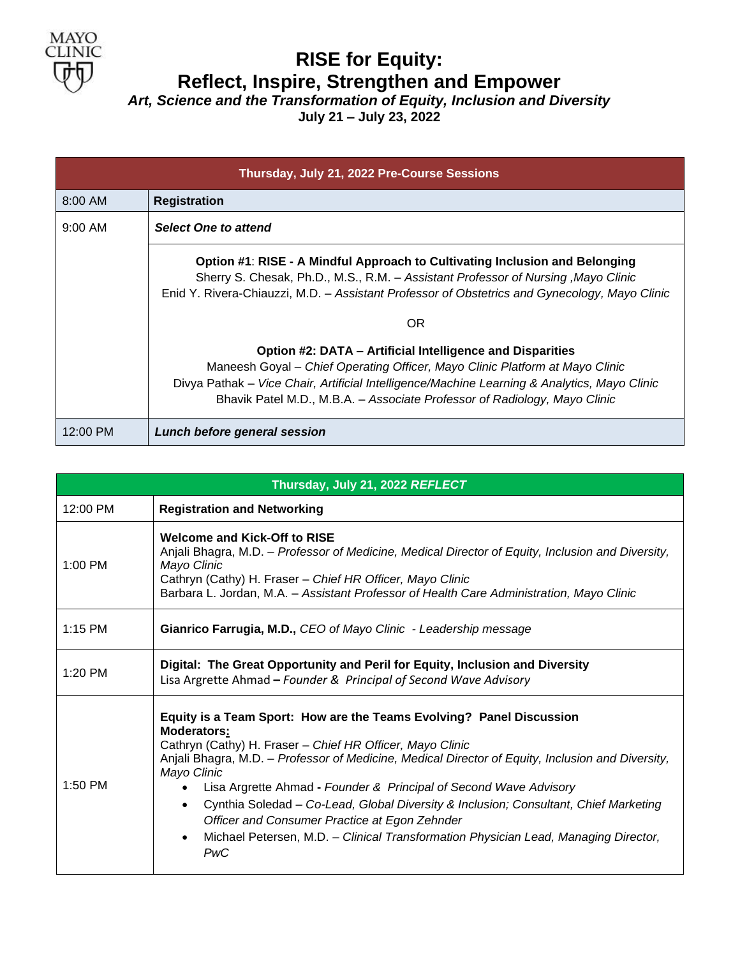

## **RISE for Equity: Reflect, Inspire, Strengthen and Empower**

*Art, Science and the Transformation of Equity, Inclusion and Diversity* **July 21 – July 23, 2022**

| Thursday, July 21, 2022 Pre-Course Sessions |                                                                                                                                                                                                                                                                                                                        |
|---------------------------------------------|------------------------------------------------------------------------------------------------------------------------------------------------------------------------------------------------------------------------------------------------------------------------------------------------------------------------|
| 8:00 AM                                     | <b>Registration</b>                                                                                                                                                                                                                                                                                                    |
| $9:00 \, \text{AM}$                         | <b>Select One to attend</b>                                                                                                                                                                                                                                                                                            |
|                                             | Option #1: RISE - A Mindful Approach to Cultivating Inclusion and Belonging<br>Sherry S. Chesak, Ph.D., M.S., R.M. - Assistant Professor of Nursing, Mayo Clinic<br>Enid Y. Rivera-Chiauzzi, M.D. - Assistant Professor of Obstetrics and Gynecology, Mayo Clinic                                                      |
|                                             | OR                                                                                                                                                                                                                                                                                                                     |
|                                             | Option #2: DATA – Artificial Intelligence and Disparities<br>Maneesh Goyal - Chief Operating Officer, Mayo Clinic Platform at Mayo Clinic<br>Divya Pathak - Vice Chair, Artificial Intelligence/Machine Learning & Analytics, Mayo Clinic<br>Bhavik Patel M.D., M.B.A. – Associate Professor of Radiology, Mayo Clinic |
| 12:00 PM                                    | Lunch before general session                                                                                                                                                                                                                                                                                           |

| Thursday, July 21, 2022 REFLECT |                                                                                                                                                                                                                                                                                                                                                                                                                                                                                                                                                                                                                                |  |
|---------------------------------|--------------------------------------------------------------------------------------------------------------------------------------------------------------------------------------------------------------------------------------------------------------------------------------------------------------------------------------------------------------------------------------------------------------------------------------------------------------------------------------------------------------------------------------------------------------------------------------------------------------------------------|--|
| 12:00 PM                        | <b>Registration and Networking</b>                                                                                                                                                                                                                                                                                                                                                                                                                                                                                                                                                                                             |  |
| $1:00$ PM                       | <b>Welcome and Kick-Off to RISE</b><br>Anjali Bhagra, M.D. – Professor of Medicine, Medical Director of Equity, Inclusion and Diversity,<br>Mayo Clinic<br>Cathryn (Cathy) H. Fraser - Chief HR Officer, Mayo Clinic<br>Barbara L. Jordan, M.A. - Assistant Professor of Health Care Administration, Mayo Clinic                                                                                                                                                                                                                                                                                                               |  |
| $1:15$ PM                       | Gianrico Farrugia, M.D., CEO of Mayo Clinic - Leadership message                                                                                                                                                                                                                                                                                                                                                                                                                                                                                                                                                               |  |
| $1:20$ PM                       | Digital: The Great Opportunity and Peril for Equity, Inclusion and Diversity<br>Lisa Argrette Ahmad - Founder & Principal of Second Wave Advisory                                                                                                                                                                                                                                                                                                                                                                                                                                                                              |  |
| $1:50$ PM                       | Equity is a Team Sport: How are the Teams Evolving? Panel Discussion<br><b>Moderators:</b><br>Cathryn (Cathy) H. Fraser - Chief HR Officer, Mayo Clinic<br>Anjali Bhagra, M.D. - Professor of Medicine, Medical Director of Equity, Inclusion and Diversity,<br>Mayo Clinic<br>Lisa Argrette Ahmad - Founder & Principal of Second Wave Advisory<br>$\bullet$<br>Cynthia Soledad - Co-Lead, Global Diversity & Inclusion; Consultant, Chief Marketing<br>$\bullet$<br>Officer and Consumer Practice at Egon Zehnder<br>Michael Petersen, M.D. - Clinical Transformation Physician Lead, Managing Director,<br>$\bullet$<br>PwC |  |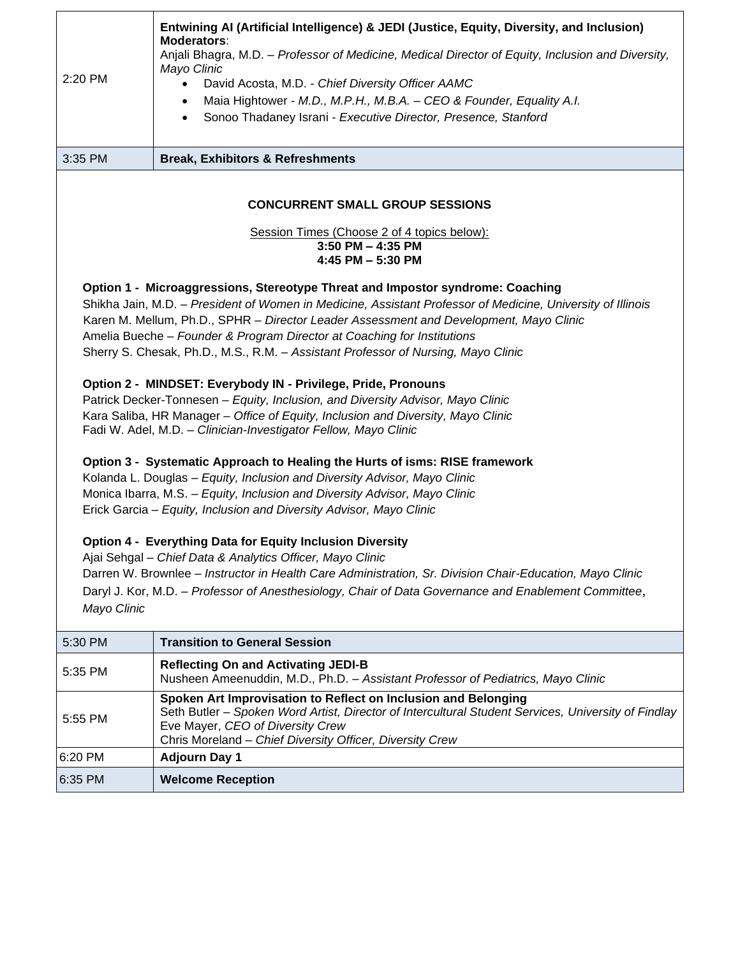| 2:20 PM                                                                                                                                                                                                                                                                                                                                                                                                                                                                                                                                                                                                                                                                                                                                                                                                                                                                                                                                                                                                                                                                                                                                                                                                                                                                                                                                                                                                                                          | Entwining AI (Artificial Intelligence) & JEDI (Justice, Equity, Diversity, and Inclusion)<br>Moderators:<br>Anjali Bhagra, M.D. - Professor of Medicine, Medical Director of Equity, Inclusion and Diversity,<br>Mayo Clinic<br>David Acosta, M.D. - Chief Diversity Officer AAMC<br>$\bullet$<br>Maia Hightower - M.D., M.P.H., M.B.A. - CEO & Founder, Equality A.I.<br>$\bullet$<br>Sonoo Thadaney Israni - Executive Director, Presence, Stanford<br>$\bullet$ |  |
|--------------------------------------------------------------------------------------------------------------------------------------------------------------------------------------------------------------------------------------------------------------------------------------------------------------------------------------------------------------------------------------------------------------------------------------------------------------------------------------------------------------------------------------------------------------------------------------------------------------------------------------------------------------------------------------------------------------------------------------------------------------------------------------------------------------------------------------------------------------------------------------------------------------------------------------------------------------------------------------------------------------------------------------------------------------------------------------------------------------------------------------------------------------------------------------------------------------------------------------------------------------------------------------------------------------------------------------------------------------------------------------------------------------------------------------------------|--------------------------------------------------------------------------------------------------------------------------------------------------------------------------------------------------------------------------------------------------------------------------------------------------------------------------------------------------------------------------------------------------------------------------------------------------------------------|--|
| 3:35 PM                                                                                                                                                                                                                                                                                                                                                                                                                                                                                                                                                                                                                                                                                                                                                                                                                                                                                                                                                                                                                                                                                                                                                                                                                                                                                                                                                                                                                                          | <b>Break, Exhibitors &amp; Refreshments</b>                                                                                                                                                                                                                                                                                                                                                                                                                        |  |
| <b>CONCURRENT SMALL GROUP SESSIONS</b>                                                                                                                                                                                                                                                                                                                                                                                                                                                                                                                                                                                                                                                                                                                                                                                                                                                                                                                                                                                                                                                                                                                                                                                                                                                                                                                                                                                                           |                                                                                                                                                                                                                                                                                                                                                                                                                                                                    |  |
| Session Times (Choose 2 of 4 topics below):<br>3:50 PM - 4:35 PM<br>4:45 PM - 5:30 PM                                                                                                                                                                                                                                                                                                                                                                                                                                                                                                                                                                                                                                                                                                                                                                                                                                                                                                                                                                                                                                                                                                                                                                                                                                                                                                                                                            |                                                                                                                                                                                                                                                                                                                                                                                                                                                                    |  |
| Option 1 - Microaggressions, Stereotype Threat and Impostor syndrome: Coaching<br>Shikha Jain, M.D. - President of Women in Medicine, Assistant Professor of Medicine, University of Illinois<br>Karen M. Mellum, Ph.D., SPHR - Director Leader Assessment and Development, Mayo Clinic<br>Amelia Bueche - Founder & Program Director at Coaching for Institutions<br>Sherry S. Chesak, Ph.D., M.S., R.M. - Assistant Professor of Nursing, Mayo Clinic<br>Option 2 - MINDSET: Everybody IN - Privilege, Pride, Pronouns<br>Patrick Decker-Tonnesen - Equity, Inclusion, and Diversity Advisor, Mayo Clinic<br>Kara Saliba, HR Manager - Office of Equity, Inclusion and Diversity, Mayo Clinic<br>Fadi W. Adel, M.D. - Clinician-Investigator Fellow, Mayo Clinic<br>Option 3 - Systematic Approach to Healing the Hurts of isms: RISE framework<br>Kolanda L. Douglas - Equity, Inclusion and Diversity Advisor, Mayo Clinic<br>Monica Ibarra, M.S. - Equity, Inclusion and Diversity Advisor, Mayo Clinic<br>Erick Garcia - Equity, Inclusion and Diversity Advisor, Mayo Clinic<br>Option 4 - Everything Data for Equity Inclusion Diversity<br>Ajai Sehgal - Chief Data & Analytics Officer, Mayo Clinic<br>Darren W. Brownlee - Instructor in Health Care Administration, Sr. Division Chair-Education, Mayo Clinic<br>Daryl J. Kor, M.D. - Professor of Anesthesiology, Chair of Data Governance and Enablement Committee,<br>Mayo Clinic |                                                                                                                                                                                                                                                                                                                                                                                                                                                                    |  |
| 5:30 PM                                                                                                                                                                                                                                                                                                                                                                                                                                                                                                                                                                                                                                                                                                                                                                                                                                                                                                                                                                                                                                                                                                                                                                                                                                                                                                                                                                                                                                          | <b>Transition to General Session</b>                                                                                                                                                                                                                                                                                                                                                                                                                               |  |
| 5:35 PM                                                                                                                                                                                                                                                                                                                                                                                                                                                                                                                                                                                                                                                                                                                                                                                                                                                                                                                                                                                                                                                                                                                                                                                                                                                                                                                                                                                                                                          | <b>Reflecting On and Activating JEDI-B</b><br>Nusheen Ameenuddin, M.D., Ph.D. - Assistant Professor of Pediatrics, Mayo Clinic                                                                                                                                                                                                                                                                                                                                     |  |
| 5:55 PM                                                                                                                                                                                                                                                                                                                                                                                                                                                                                                                                                                                                                                                                                                                                                                                                                                                                                                                                                                                                                                                                                                                                                                                                                                                                                                                                                                                                                                          | Spoken Art Improvisation to Reflect on Inclusion and Belonging<br>Seth Butler - Spoken Word Artist, Director of Intercultural Student Services, University of Findlay<br>Eve Mayer, CEO of Diversity Crew<br>Chris Moreland - Chief Diversity Officer, Diversity Crew                                                                                                                                                                                              |  |
| 6:20 PM                                                                                                                                                                                                                                                                                                                                                                                                                                                                                                                                                                                                                                                                                                                                                                                                                                                                                                                                                                                                                                                                                                                                                                                                                                                                                                                                                                                                                                          | <b>Adjourn Day 1</b>                                                                                                                                                                                                                                                                                                                                                                                                                                               |  |
| 6:35 PM                                                                                                                                                                                                                                                                                                                                                                                                                                                                                                                                                                                                                                                                                                                                                                                                                                                                                                                                                                                                                                                                                                                                                                                                                                                                                                                                                                                                                                          | <b>Welcome Reception</b>                                                                                                                                                                                                                                                                                                                                                                                                                                           |  |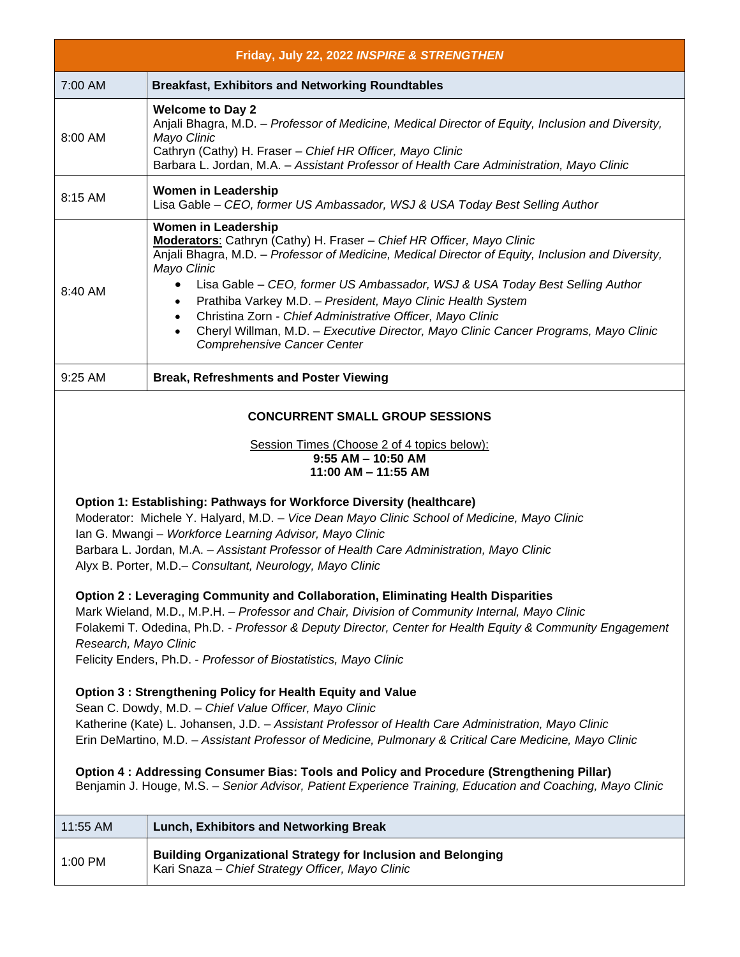|                                                                                                                                                                                                                                                                                                                                                                                                                                                                                                                                                                                                                                                                                                                                                                                                                                                                                                                        | Friday, July 22, 2022 INSPIRE & STRENGTHEN                                                                                                                                                                                                                                                                                                                                                                                                                                                                                                                                                       |  |
|------------------------------------------------------------------------------------------------------------------------------------------------------------------------------------------------------------------------------------------------------------------------------------------------------------------------------------------------------------------------------------------------------------------------------------------------------------------------------------------------------------------------------------------------------------------------------------------------------------------------------------------------------------------------------------------------------------------------------------------------------------------------------------------------------------------------------------------------------------------------------------------------------------------------|--------------------------------------------------------------------------------------------------------------------------------------------------------------------------------------------------------------------------------------------------------------------------------------------------------------------------------------------------------------------------------------------------------------------------------------------------------------------------------------------------------------------------------------------------------------------------------------------------|--|
| 7:00 AM                                                                                                                                                                                                                                                                                                                                                                                                                                                                                                                                                                                                                                                                                                                                                                                                                                                                                                                | <b>Breakfast, Exhibitors and Networking Roundtables</b>                                                                                                                                                                                                                                                                                                                                                                                                                                                                                                                                          |  |
| 8:00 AM                                                                                                                                                                                                                                                                                                                                                                                                                                                                                                                                                                                                                                                                                                                                                                                                                                                                                                                | <b>Welcome to Day 2</b><br>Anjali Bhagra, M.D. - Professor of Medicine, Medical Director of Equity, Inclusion and Diversity,<br>Mayo Clinic<br>Cathryn (Cathy) H. Fraser - Chief HR Officer, Mayo Clinic<br>Barbara L. Jordan, M.A. - Assistant Professor of Health Care Administration, Mayo Clinic                                                                                                                                                                                                                                                                                             |  |
| 8:15 AM                                                                                                                                                                                                                                                                                                                                                                                                                                                                                                                                                                                                                                                                                                                                                                                                                                                                                                                | <b>Women in Leadership</b><br>Lisa Gable - CEO, former US Ambassador, WSJ & USA Today Best Selling Author                                                                                                                                                                                                                                                                                                                                                                                                                                                                                        |  |
| 8:40 AM                                                                                                                                                                                                                                                                                                                                                                                                                                                                                                                                                                                                                                                                                                                                                                                                                                                                                                                | <b>Women in Leadership</b><br>Moderators: Cathryn (Cathy) H. Fraser - Chief HR Officer, Mayo Clinic<br>Anjali Bhagra, M.D. - Professor of Medicine, Medical Director of Equity, Inclusion and Diversity,<br>Mayo Clinic<br>Lisa Gable - CEO, former US Ambassador, WSJ & USA Today Best Selling Author<br>Prathiba Varkey M.D. - President, Mayo Clinic Health System<br>$\bullet$<br>Christina Zorn - Chief Administrative Officer, Mayo Clinic<br>$\bullet$<br>Cheryl Willman, M.D. - Executive Director, Mayo Clinic Cancer Programs, Mayo Clinic<br>$\bullet$<br>Comprehensive Cancer Center |  |
| 9:25 AM                                                                                                                                                                                                                                                                                                                                                                                                                                                                                                                                                                                                                                                                                                                                                                                                                                                                                                                | <b>Break, Refreshments and Poster Viewing</b>                                                                                                                                                                                                                                                                                                                                                                                                                                                                                                                                                    |  |
| <b>CONCURRENT SMALL GROUP SESSIONS</b><br>Session Times (Choose 2 of 4 topics below):<br>$9:55$ AM $-$ 10:50 AM<br>11:00 AM - 11:55 AM                                                                                                                                                                                                                                                                                                                                                                                                                                                                                                                                                                                                                                                                                                                                                                                 |                                                                                                                                                                                                                                                                                                                                                                                                                                                                                                                                                                                                  |  |
| Option 1: Establishing: Pathways for Workforce Diversity (healthcare)<br>Moderator: Michele Y. Halyard, M.D. - Vice Dean Mayo Clinic School of Medicine, Mayo Clinic<br>Ian G. Mwangi - Workforce Learning Advisor, Mayo Clinic<br>Barbara L. Jordan, M.A. - Assistant Professor of Health Care Administration, Mayo Clinic<br>Alyx B. Porter, M.D.- Consultant, Neurology, Mayo Clinic<br>Option 2 : Leveraging Community and Collaboration, Eliminating Health Disparities<br>Mark Wieland, M.D., M.P.H. - Professor and Chair, Division of Community Internal, Mayo Clinic<br>Folakemi T. Odedina, Ph.D. - Professor & Deputy Director, Center for Health Equity & Community Engagement<br>Research, Mayo Clinic<br>Felicity Enders, Ph.D. - Professor of Biostatistics, Mayo Clinic<br><b>Option 3: Strengthening Policy for Health Equity and Value</b><br>Sean C. Dowdy, M.D. - Chief Value Officer, Mayo Clinic |                                                                                                                                                                                                                                                                                                                                                                                                                                                                                                                                                                                                  |  |
| Katherine (Kate) L. Johansen, J.D. - Assistant Professor of Health Care Administration, Mayo Clinic<br>Erin DeMartino, M.D. - Assistant Professor of Medicine, Pulmonary & Critical Care Medicine, Mayo Clinic<br>Option 4: Addressing Consumer Bias: Tools and Policy and Procedure (Strengthening Pillar)<br>Benjamin J. Houge, M.S. - Senior Advisor, Patient Experience Training, Education and Coaching, Mayo Clinic                                                                                                                                                                                                                                                                                                                                                                                                                                                                                              |                                                                                                                                                                                                                                                                                                                                                                                                                                                                                                                                                                                                  |  |
| 11:55 AM                                                                                                                                                                                                                                                                                                                                                                                                                                                                                                                                                                                                                                                                                                                                                                                                                                                                                                               | <b>Lunch, Exhibitors and Networking Break</b>                                                                                                                                                                                                                                                                                                                                                                                                                                                                                                                                                    |  |
| $1:00$ PM                                                                                                                                                                                                                                                                                                                                                                                                                                                                                                                                                                                                                                                                                                                                                                                                                                                                                                              | <b>Building Organizational Strategy for Inclusion and Belonging</b><br>Kari Snaza - Chief Strategy Officer, Mayo Clinic                                                                                                                                                                                                                                                                                                                                                                                                                                                                          |  |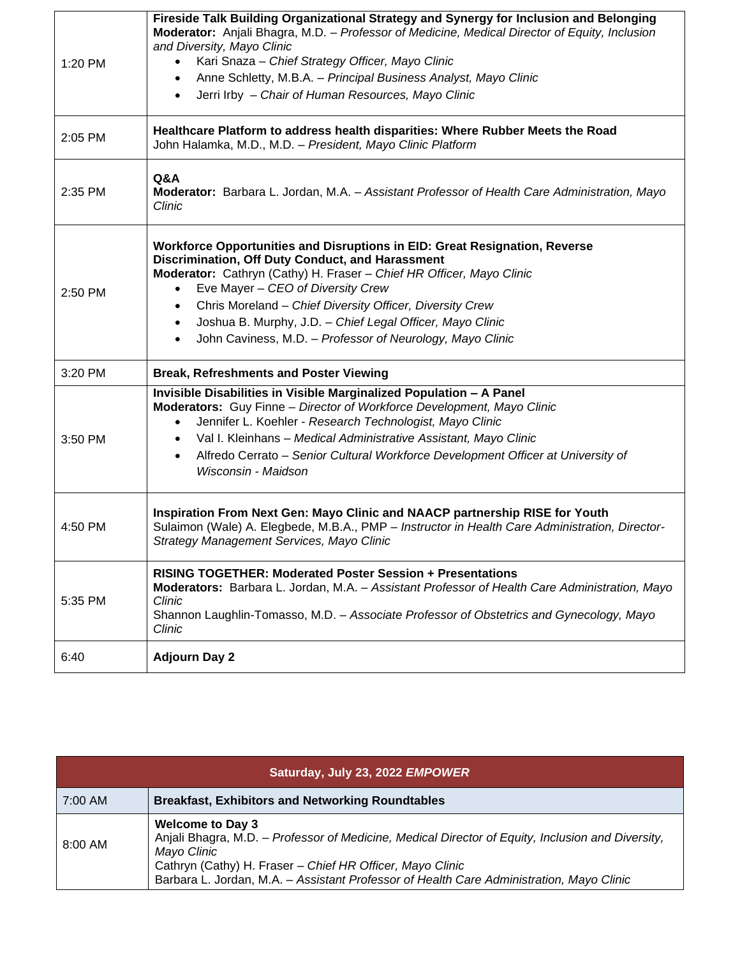| 1:20 PM | Fireside Talk Building Organizational Strategy and Synergy for Inclusion and Belonging<br>Moderator: Anjali Bhagra, M.D. - Professor of Medicine, Medical Director of Equity, Inclusion<br>and Diversity, Mayo Clinic<br>Kari Snaza - Chief Strategy Officer, Mayo Clinic<br>Anne Schletty, M.B.A. - Principal Business Analyst, Mayo Clinic<br>$\bullet$<br>Jerri Irby - Chair of Human Resources, Mayo Clinic<br>$\bullet$                                             |
|---------|--------------------------------------------------------------------------------------------------------------------------------------------------------------------------------------------------------------------------------------------------------------------------------------------------------------------------------------------------------------------------------------------------------------------------------------------------------------------------|
| 2:05 PM | Healthcare Platform to address health disparities: Where Rubber Meets the Road<br>John Halamka, M.D., M.D. - President, Mayo Clinic Platform                                                                                                                                                                                                                                                                                                                             |
| 2:35 PM | Q&A<br>Moderator: Barbara L. Jordan, M.A. - Assistant Professor of Health Care Administration, Mayo<br>Clinic                                                                                                                                                                                                                                                                                                                                                            |
| 2:50 PM | Workforce Opportunities and Disruptions in EID: Great Resignation, Reverse<br>Discrimination, Off Duty Conduct, and Harassment<br>Moderator: Cathryn (Cathy) H. Fraser - Chief HR Officer, Mayo Clinic<br>Eve Mayer - CEO of Diversity Crew<br>Chris Moreland - Chief Diversity Officer, Diversity Crew<br>$\bullet$<br>Joshua B. Murphy, J.D. - Chief Legal Officer, Mayo Clinic<br>$\bullet$<br>John Caviness, M.D. - Professor of Neurology, Mayo Clinic<br>$\bullet$ |
| 3:20 PM | <b>Break, Refreshments and Poster Viewing</b>                                                                                                                                                                                                                                                                                                                                                                                                                            |
| 3:50 PM | Invisible Disabilities in Visible Marginalized Population - A Panel<br>Moderators: Guy Finne - Director of Workforce Development, Mayo Clinic<br>Jennifer L. Koehler - Research Technologist, Mayo Clinic<br>$\bullet$<br>Val I. Kleinhans - Medical Administrative Assistant, Mayo Clinic<br>$\bullet$<br>Alfredo Cerrato - Senior Cultural Workforce Development Officer at University of<br>$\bullet$<br>Wisconsin - Maidson                                          |
| 4:50 PM | Inspiration From Next Gen: Mayo Clinic and NAACP partnership RISE for Youth<br>Sulaimon (Wale) A. Elegbede, M.B.A., PMP - Instructor in Health Care Administration, Director-<br>Strategy Management Services, Mayo Clinic                                                                                                                                                                                                                                               |
| 5:35 PM | RISING TOGETHER: Moderated Poster Session + Presentations<br>Moderators: Barbara L. Jordan, M.A. - Assistant Professor of Health Care Administration, Mayo<br>Clinic<br>Shannon Laughlin-Tomasso, M.D. - Associate Professor of Obstetrics and Gynecology, Mayo<br>Clinic                                                                                                                                                                                                |
| 6:40    | <b>Adjourn Day 2</b>                                                                                                                                                                                                                                                                                                                                                                                                                                                     |

| Saturday, July 23, 2022 EMPOWER |                                                                                                                                                                                                                                                                                                      |
|---------------------------------|------------------------------------------------------------------------------------------------------------------------------------------------------------------------------------------------------------------------------------------------------------------------------------------------------|
| 7:00 AM                         | <b>Breakfast, Exhibitors and Networking Roundtables</b>                                                                                                                                                                                                                                              |
| $8:00 \text{ AM}$               | <b>Welcome to Day 3</b><br>Anjali Bhagra, M.D. - Professor of Medicine, Medical Director of Equity, Inclusion and Diversity,<br>Mayo Clinic<br>Cathryn (Cathy) H. Fraser - Chief HR Officer, Mayo Clinic<br>Barbara L. Jordan, M.A. - Assistant Professor of Health Care Administration, Mayo Clinic |